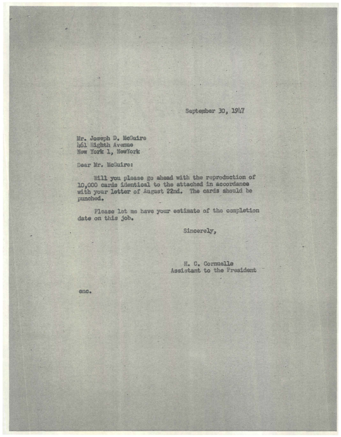## September 30, 1947

Mr. Joseph D. McGuire 461 Eighth Avenue New York 1, NewYork

Dear Mr. McGuire:

Will you please go ahead with the reproduction of 10,000 cards identical to the attached in accordance with your letter of August 22nd. The cards should be punched.

Please let me have your estimate of the completion date on this job.

Sincerely,

H. C. Cornuelle Assistant to the President

eno.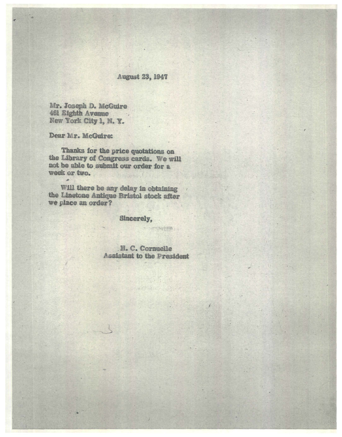## **August 23, 1947**

Mr. Joseph D. McGuire 461 Eighth Avenue New York City 1, N. Y.

## Dear Mr. McGuire:

 $\overline{\phantom{a}}$ 

Thanks for the price quotations on the Library of Congress cards. We will not be able to submit our order for a week or two.

Will there be any delay in obtaining the Linetone Antique Bristol stock after we place an order?

Sincerely,

H. C. Cornuelle **Assistant to the President** 

SE TITLE

- 10000000011